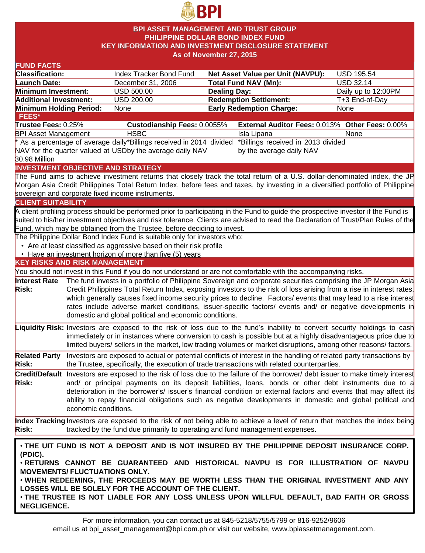

### **BPI ASSET MANAGEMENT AND TRUST GROUP PHILIPPINE DOLLAR BOND INDEX FUND KEY INFORMATION AND INVESTMENT DISCLOSURE STATEMENT As of November 27, 2015**

| <b>FUND FACTS</b>                                                                                       |                      |                                                                              |                     |                                                                                                                                    |                     |
|---------------------------------------------------------------------------------------------------------|----------------------|------------------------------------------------------------------------------|---------------------|------------------------------------------------------------------------------------------------------------------------------------|---------------------|
| <b>Classification:</b>                                                                                  |                      | Index Tracker Bond Fund                                                      |                     | Net Asset Value per Unit (NAVPU):                                                                                                  | <b>USD 195.54</b>   |
| <b>Launch Date:</b>                                                                                     |                      | December 31, 2006                                                            |                     | <b>Total Fund NAV (Mn):</b>                                                                                                        | <b>USD 32.14</b>    |
| Minimum Investment:                                                                                     |                      | USD 500.00                                                                   | <b>Dealing Day:</b> |                                                                                                                                    | Daily up to 12:00PM |
| <b>Additional Investment:</b>                                                                           |                      | <b>USD 200.00</b>                                                            |                     | <b>Redemption Settlement:</b>                                                                                                      | T+3 End-of-Day      |
| Minimum Holding Period:                                                                                 |                      | None                                                                         |                     | <b>Early Redemption Charge:</b>                                                                                                    | None                |
| FEES*                                                                                                   |                      |                                                                              |                     |                                                                                                                                    |                     |
| Trustee Fees: 0.25%                                                                                     |                      | Custodianship Fees: 0.0055%                                                  |                     | External Auditor Fees: 0.013% Other Fees: 0.00%                                                                                    |                     |
| <b>BPI Asset Management</b>                                                                             |                      | <b>HSBC</b>                                                                  |                     | Isla Lipana                                                                                                                        | None                |
|                                                                                                         |                      | * As a percentage of average daily*Billings received in 2014 divided         |                     | *Billings received in 2013 divided                                                                                                 |                     |
|                                                                                                         |                      | NAV for the quarter valued at USDby the average daily NAV                    |                     | by the average daily NAV                                                                                                           |                     |
| 30.98 Million                                                                                           |                      |                                                                              |                     |                                                                                                                                    |                     |
|                                                                                                         |                      | <b>INVESTMENT OBJECTIVE AND STRATEGY</b>                                     |                     |                                                                                                                                    |                     |
|                                                                                                         |                      |                                                                              |                     | The Fund aims to achieve investment returns that closely track the total return of a U.S. dollar-denominated index, the JP         |                     |
|                                                                                                         |                      |                                                                              |                     | Morgan Asia Credit Philippines Total Return Index, before fees and taxes, by investing in a diversified portfolio of Philippine    |                     |
|                                                                                                         |                      | sovereign and corporate fixed income instruments.                            |                     |                                                                                                                                    |                     |
| <b>CLIENT SUITABILITY</b>                                                                               |                      |                                                                              |                     |                                                                                                                                    |                     |
|                                                                                                         |                      |                                                                              |                     | A client profiling process should be performed prior to participating in the Fund to guide the prospective investor if the Fund is |                     |
|                                                                                                         |                      |                                                                              |                     | suited to his/her investment objectives and risk tolerance. Clients are advised to read the Declaration of Trust/Plan Rules of the |                     |
|                                                                                                         |                      | Fund, which may be obtained from the Trustee, before deciding to invest.     |                     |                                                                                                                                    |                     |
|                                                                                                         |                      | The Philippine Dollar Bond Index Fund is suitable only for investors who:    |                     |                                                                                                                                    |                     |
|                                                                                                         |                      | • Are at least classified as aggressive based on their risk profile          |                     |                                                                                                                                    |                     |
|                                                                                                         |                      | • Have an investment horizon of more than five (5) years                     |                     |                                                                                                                                    |                     |
| <b>KEY RISKS AND RISK MANAGEMENT</b>                                                                    |                      |                                                                              |                     |                                                                                                                                    |                     |
|                                                                                                         |                      |                                                                              |                     | You should not invest in this Fund if you do not understand or are not comfortable with the accompanying risks.                    |                     |
| <b>Interest Rate</b>                                                                                    |                      |                                                                              |                     | The fund invests in a portfolio of Philippine Sovereign and corporate securities comprising the JP Morgan Asia                     |                     |
| <b>Risk:</b>                                                                                            |                      |                                                                              |                     | Credit Philippines Total Return Index, exposing investors to the risk of loss arising from a rise in interest rates,               |                     |
|                                                                                                         |                      |                                                                              |                     | which generally causes fixed income security prices to decline. Factors/ events that may lead to a rise interest                   |                     |
|                                                                                                         |                      |                                                                              |                     | rates include adverse market conditions, issuer-specific factors/ events and/ or negative developments in                          |                     |
|                                                                                                         |                      | domestic and global political and economic conditions.                       |                     |                                                                                                                                    |                     |
|                                                                                                         |                      |                                                                              |                     | Liquidity Risk: Investors are exposed to the risk of loss due to the fund's inability to convert security holdings to cash         |                     |
|                                                                                                         |                      |                                                                              |                     |                                                                                                                                    |                     |
|                                                                                                         |                      |                                                                              |                     | immediately or in instances where conversion to cash is possible but at a highly disadvantageous price due to                      |                     |
|                                                                                                         |                      |                                                                              |                     | limited buyers/ sellers in the market, low trading volumes or market disruptions, among other reasons/factors.                     |                     |
| <b>Related Party</b>                                                                                    |                      |                                                                              |                     | Investors are exposed to actual or potential conflicts of interest in the handling of related party transactions by                |                     |
| <b>Risk:</b>                                                                                            |                      |                                                                              |                     | the Trustee, specifically, the execution of trade transactions with related counterparties.                                        |                     |
|                                                                                                         |                      |                                                                              |                     | Credit/Default Investors are exposed to the risk of loss due to the failure of the borrower/ debt issuer to make timely interest   |                     |
| <b>Risk:</b>                                                                                            |                      |                                                                              |                     | and/ or principal payments on its deposit liabilities, loans, bonds or other debt instruments due to a                             |                     |
|                                                                                                         |                      |                                                                              |                     | deterioration in the borrower's/ issuer's financial condition or external factors and events that may affect its                   |                     |
|                                                                                                         |                      |                                                                              |                     | ability to repay financial obligations such as negative developments in domestic and global political and                          |                     |
|                                                                                                         | economic conditions. |                                                                              |                     |                                                                                                                                    |                     |
|                                                                                                         |                      |                                                                              |                     | Index Tracking Investors are exposed to the risk of not being able to achieve a level of return that matches the index being       |                     |
| <b>Risk:</b>                                                                                            |                      | tracked by the fund due primarily to operating and fund management expenses. |                     |                                                                                                                                    |                     |
|                                                                                                         |                      |                                                                              |                     |                                                                                                                                    |                     |
|                                                                                                         |                      |                                                                              |                     |                                                                                                                                    |                     |
| . THE UIT FUND IS NOT A DEPOSIT AND IS NOT INSURED BY THE PHILIPPINE DEPOSIT INSURANCE CORP.<br>(PDIC). |                      |                                                                              |                     |                                                                                                                                    |                     |
| . RETURNS CANNOT BE GUARANTEED AND HISTORICAL NAVPU IS FOR ILLUSTRATION OF NAVPU                        |                      |                                                                              |                     |                                                                                                                                    |                     |
| <b>MOVEMENTS/ FLUCTUATIONS ONLY.</b>                                                                    |                      |                                                                              |                     |                                                                                                                                    |                     |
| . WHEN REDEEMING, THE PROCEEDS MAY BE WORTH LESS THAN THE ORIGINAL INVESTMENT AND ANY                   |                      |                                                                              |                     |                                                                                                                                    |                     |
| LOSSES WILL BE SOLELY FOR THE ACCOUNT OF THE CLIENT.                                                    |                      |                                                                              |                     |                                                                                                                                    |                     |
| . THE TRUSTEE IS NOT LIABLE FOR ANY LOSS UNLESS UPON WILLFUL DEFAULT, BAD FAITH OR GROSS                |                      |                                                                              |                     |                                                                                                                                    |                     |
| <b>NEGLIGENCE.</b>                                                                                      |                      |                                                                              |                     |                                                                                                                                    |                     |
|                                                                                                         |                      |                                                                              |                     |                                                                                                                                    |                     |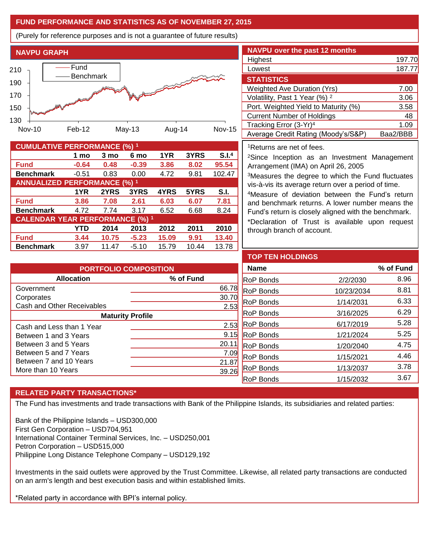# **FUND PERFORMANCE AND STATISTICS AS OF NOVEMBER 27, 2015**

(Purely for reference purposes and is not a guarantee of future results)



| <b>CUMULATIVE PERFORMANCE (%) 1</b>    |         |       |         |       |       |        |  |
|----------------------------------------|---------|-------|---------|-------|-------|--------|--|
|                                        | 1 mo    | 3 mo  | 6 mo    | 1YR   | 3YRS  | S.I.4  |  |
| <b>Fund</b>                            | $-0.64$ | 0.48  | $-0.39$ | 3.86  | 8.02  | 95.54  |  |
| <b>Benchmark</b>                       | $-0.51$ | 0.83  | 0.00    | 4.72  | 9.81  | 102.47 |  |
| <b>ANNUALIZED PERFORMANCE (%) 1</b>    |         |       |         |       |       |        |  |
|                                        | 1YR     | 2YRS  | 3YRS    | 4YRS  | 5YRS  | S.I.   |  |
| <b>Fund</b>                            | 3.86    | 7.08  | 2.61    | 6.03  | 6.07  | 7.81   |  |
| <b>Benchmark</b>                       | 4.72    | 7.74  | 3.17    | 6.52  | 6.68  | 8.24   |  |
| <b>CALENDAR YEAR PERFORMANCE (%) 1</b> |         |       |         |       |       |        |  |
|                                        | YTD     | 2014  | 2013    | 2012  | 2011  | 2010   |  |
| <b>Fund</b>                            | 3.44    | 10.75 | $-5.23$ | 15.09 | 9.91  | 13.40  |  |
| <b>Benchmark</b>                       | 3.97    | 11.47 | $-5.10$ | 15.79 | 10.44 | 13.78  |  |

| <b>NAVPU over the past 12 months</b>     |          |
|------------------------------------------|----------|
| Highest                                  | 197.70   |
| Lowest                                   | 187.77   |
| <b>STATISTICS</b>                        |          |
| <b>Weighted Ave Duration (Yrs)</b>       | 7.00     |
| Volatility, Past 1 Year (%) <sup>2</sup> | 3.06     |
| Port. Weighted Yield to Maturity (%)     | 3.58     |
| <b>Current Number of Holdings</b>        | 48       |
| Tracking Error (3-Yr) <sup>4</sup>       | 1.09     |
| Average Credit Rating (Moody's/S&P)      | Baa2/BBB |

#### <sup>1</sup>Returns are net of fees.

<sup>2</sup>Since Inception as an Investment Management Arrangement (IMA) on April 26, 2005

<sup>3</sup>Measures the degree to which the Fund fluctuates vis-à-vis its average return over a period of time.

<sup>4</sup>Measure of deviation between the Fund's return and benchmark returns. A lower number means the Fund's return is closely aligned with the benchmark.

\*Declaration of Trust is available upon request through branch of account.

| <b>PORTFOLIO COMPOSITION</b> |           |  |  |  |
|------------------------------|-----------|--|--|--|
| <b>Allocation</b>            | % of Fund |  |  |  |
| Government                   | 66.78     |  |  |  |
| Corporates                   | 30.7      |  |  |  |
| Cash and Other Receivables   | 2.53      |  |  |  |
| <b>Maturity Profile</b>      |           |  |  |  |
| Cash and Less than 1 Year    | 2.53      |  |  |  |
| Between 1 and 3 Years        | 9.15      |  |  |  |
| Between 3 and 5 Years        | 20.1      |  |  |  |
| Between 5 and 7 Years        | 7.09      |  |  |  |
| Between 7 and 10 Years       | 21.8      |  |  |  |
| More than 10 Years           | 39.       |  |  |  |

| <b>TOP TEN HOLDINGS</b> |            |           |
|-------------------------|------------|-----------|
| <b>Name</b>             |            | % of Fund |
| <b>RoP Bonds</b>        | 2/2/2030   | 8.96      |
| <b>RoP Bonds</b>        | 10/23/2034 | 8.81      |
| <b>RoP Bonds</b>        | 1/14/2031  | 6.33      |
| <b>RoP Bonds</b>        | 3/16/2025  | 6.29      |
| <b>RoP Bonds</b>        | 6/17/2019  | 5.28      |
| <b>RoP Bonds</b>        | 1/21/2024  | 5.25      |
| <b>RoP Bonds</b>        | 1/20/2040  | 4.75      |
| <b>RoP Bonds</b>        | 1/15/2021  | 4.46      |
| <b>RoP Bonds</b>        | 1/13/2037  | 3.78      |
| <b>RoP Bonds</b>        | 1/15/2032  | 3.67      |

## **RELATED PARTY TRANSACTIONS\***

The Fund has investments and trade transactions with Bank of the Philippine Islands, its subsidiaries and related parties:

Bank of the Philippine Islands – USD300,000 First Gen Corporation – USD704,951 International Container Terminal Services, Inc. – USD250,001 Petron Corporation – USD515,000 Philippine Long Distance Telephone Company – USD129,192

Investments in the said outlets were approved by the Trust Committee. Likewise, all related party transactions are conducted on an arm's length and best execution basis and within established limits.

\*Related party in accordance with BPI's internal policy.